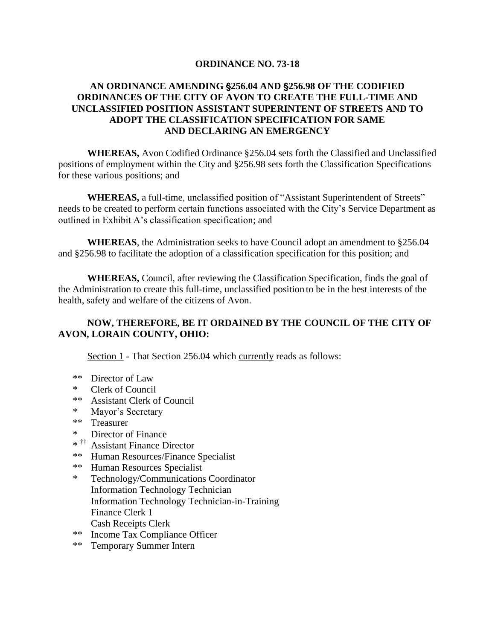### **ORDINANCE NO. 73-18**

## **AN ORDINANCE AMENDING** '**256.04 AND** '**256.98 OF THE CODIFIED ORDINANCES OF THE CITY OF AVON TO CREATE THE FULL-TIME AND UNCLASSIFIED POSITION ASSISTANT SUPERINTENT OF STREETS AND TO ADOPT THE CLASSIFICATION SPECIFICATION FOR SAME AND DECLARING AN EMERGENCY**

**WHEREAS,** Avon Codified Ordinance §256.04 sets forth the Classified and Unclassified positions of employment within the City and §256.98 sets forth the Classification Specifications for these various positions; and

**WHEREAS,** a full-time, unclassified position of "Assistant Superintendent of Streets" needs to be created to perform certain functions associated with the City's Service Department as outlined in Exhibit A's classification specification; and

**WHEREAS**, the Administration seeks to have Council adopt an amendment to §256.04 and §256.98 to facilitate the adoption of a classification specification for this position; and

**WHEREAS,** Council, after reviewing the Classification Specification, finds the goal of the Administration to create this full-time, unclassified position to be in the best interests of the health, safety and welfare of the citizens of Avon.

# **NOW, THEREFORE, BE IT ORDAINED BY THE COUNCIL OF THE CITY OF AVON, LORAIN COUNTY, OHIO:**

Section 1 - That Section 256.04 which currently reads as follows:

- \*\* Director of Law
- \* Clerk of Council
- \*\* Assistant Clerk of Council
- \* Mayor's Secretary
- \*\* Treasurer
- \* Director of Finance
- \* †† Assistant Finance Director
- \*\* Human Resources/Finance Specialist
- \*\* Human Resources Specialist
- \* Technology/Communications Coordinator Information Technology Technician Information Technology Technician-in-Training Finance Clerk 1 Cash Receipts Clerk
- \*\* Income Tax Compliance Officer
- \*\* Temporary Summer Intern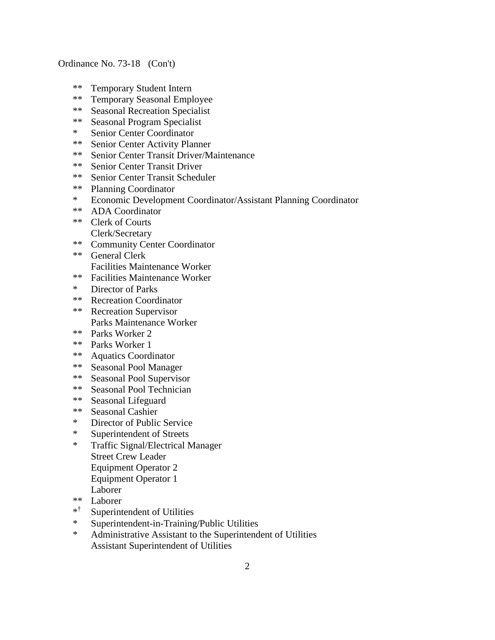- \*\* Temporary Student Intern
- \*\* Temporary Seasonal Employee
- \*\* Seasonal Recreation Specialist<br>\*\* Seasonal Program Specialist
- Seasonal Program Specialist
- \* Senior Center Coordinator
- \*\* Senior Center Activity Planner
- \*\* Senior Center Transit Driver/Maintenance
- \*\* Senior Center Transit Driver<br>\*\* Senior Center Transit Schedu
- Senior Center Transit Scheduler
- \*\* Planning Coordinator
- \* Economic Development Coordinator/Assistant Planning Coordinator
- \*\* ADA Coordinator
- \*\* Clerk of Courts Clerk/Secretary
- \*\* Community Center Coordinator
- \*\* General Clerk Facilities Maintenance Worker
- \*\* Facilities Maintenance Worker
- \* Director of Parks
- \*\* Recreation Coordinator
- \*\* Recreation Supervisor Parks Maintenance Worker
- \*\* Parks Worker 2
- \*\* Parks Worker 1
- \*\* Aquatics Coordinator
- \*\* Seasonal Pool Manager
- \*\* Seasonal Pool Supervisor
- \*\* Seasonal Pool Technician<br>\*\* Seasonal Lifequard
- \*\* Seasonal Lifeguard<br>\*\* Seasonal Cashier
- Seasonal Cashier
- \* Director of Public Service
- \* Superintendent of Streets
- \* Traffic Signal/Electrical Manager Street Crew Leader Equipment Operator 2
	- Equipment Operator 1
	- Laborer
- \*\* Laborer
- \* † Superintendent of Utilities
- \* Superintendent-in-Training/Public Utilities
- \* Administrative Assistant to the Superintendent of Utilities Assistant Superintendent of Utilities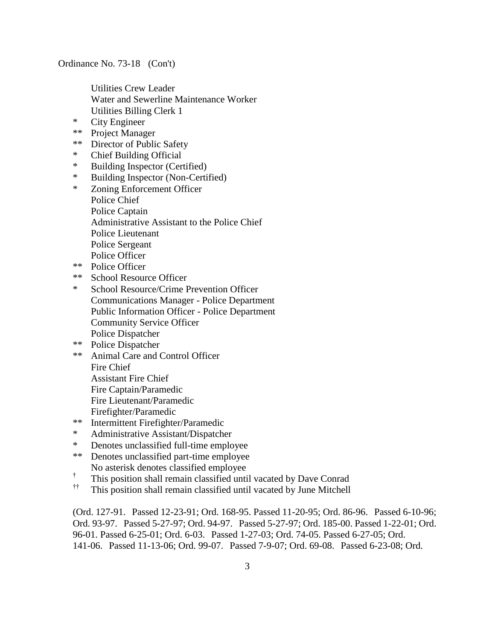Utilities Crew Leader Water and Sewerline Maintenance Worker Utilities Billing Clerk 1

- \* City Engineer
- \*\* Project Manager
- \*\* Director of Public Safety
- \* Chief Building Official
- \* Building Inspector (Certified)
- \* Building Inspector (Non-Certified)
- \* Zoning Enforcement Officer Police Chief Police Captain Administrative Assistant to the Police Chief Police Lieutenant Police Sergeant Police Officer
- \*\* Police Officer
- \*\* School Resource Officer
- \* School Resource/Crime Prevention Officer Communications Manager - Police Department Public Information Officer - Police Department Community Service Officer Police Dispatcher
- \*\* Police Dispatcher
- \*\* Animal Care and Control Officer Fire Chief Assistant Fire Chief Fire Captain/Paramedic
	- Fire Lieutenant/Paramedic
	- Firefighter/Paramedic
- \*\* Intermittent Firefighter/Paramedic
- \* Administrative Assistant/Dispatcher
- \* Denotes unclassified full-time employee
- \*\* Denotes unclassified part-time employee No asterisk denotes classified employee
- † This position shall remain classified until vacated by Dave Conrad
- †† This position shall remain classified until vacated by June Mitchell

(Ord. 127-91. Passed 12-23-91; Ord. 168-95. Passed 11-20-95; Ord. 86-96. Passed 6-10-96; Ord. 93-97. Passed 5-27-97; Ord. 94-97. Passed 5-27-97; Ord. 185-00. Passed 1-22-01; Ord. 96-01. Passed 6-25-01; Ord. 6-03. Passed 1-27-03; Ord. 74-05. Passed 6-27-05; Ord. 141-06. Passed 11-13-06; Ord. 99-07. Passed 7-9-07; Ord. 69-08. Passed 6-23-08; Ord.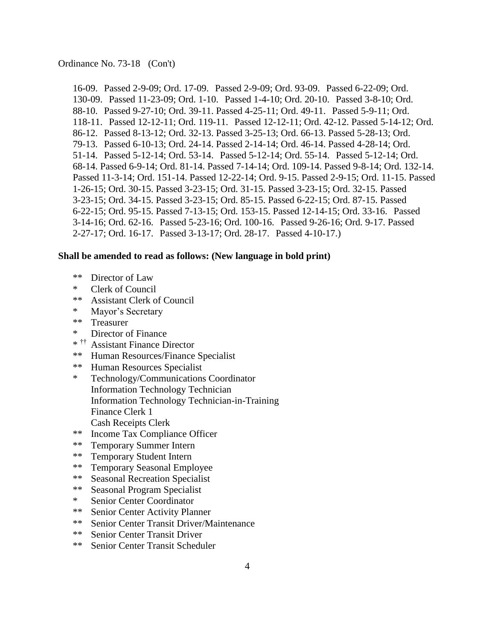16-09. Passed 2-9-09; Ord. 17-09. Passed 2-9-09; Ord. 93-09. Passed 6-22-09; Ord. 130-09. Passed 11-23-09; Ord. 1-10. Passed 1-4-10; Ord. 20-10. Passed 3-8-10; Ord. 88-10. Passed 9-27-10; Ord. 39-11. Passed 4-25-11; Ord. 49-11. Passed 5-9-11; Ord. 118-11. Passed 12-12-11; Ord. 119-11. Passed 12-12-11; Ord. 42-12. Passed 5-14-12; Ord. 86-12. Passed 8-13-12; Ord. 32-13. Passed 3-25-13; Ord. 66-13. Passed 5-28-13; Ord. 79-13. Passed 6-10-13; Ord. 24-14. Passed 2-14-14; Ord. 46-14. Passed 4-28-14; Ord. 51-14. Passed 5-12-14; Ord. 53-14. Passed 5-12-14; Ord. 55-14. Passed 5-12-14; Ord. 68-14. Passed 6-9-14; Ord. 81-14. Passed 7-14-14; Ord. 109-14. Passed 9-8-14; Ord. 132-14. Passed 11-3-14; Ord. 151-14. Passed 12-22-14; Ord. 9-15. Passed 2-9-15; Ord. 11-15. Passed 1-26-15; Ord. 30-15. Passed 3-23-15; Ord. 31-15. Passed 3-23-15; Ord. 32-15. Passed 3-23-15; Ord. 34-15. Passed 3-23-15; Ord. 85-15. Passed 6-22-15; Ord. 87-15. Passed 6-22-15; Ord. 95-15. Passed 7-13-15; Ord. 153-15. Passed 12-14-15; Ord. 33-16. Passed 3-14-16; Ord. 62-16. Passed 5-23-16; Ord. 100-16. Passed 9-26-16; Ord. 9-17. Passed 2-27-17; Ord. 16-17. Passed 3-13-17; Ord. 28-17. Passed 4-10-17.)

#### **Shall be amended to read as follows: (New language in bold print)**

- \*\* Director of Law
- \* Clerk of Council
- \*\* Assistant Clerk of Council
- \* Mayor's Secretary
- \*\* Treasurer
- \* Director of Finance
- \* †† Assistant Finance Director
- \*\* Human Resources/Finance Specialist
- \*\* Human Resources Specialist
- \* Technology/Communications Coordinator Information Technology Technician Information Technology Technician-in-Training Finance Clerk 1 Cash Receipts Clerk
- \*\* Income Tax Compliance Officer
- \*\* Temporary Summer Intern
- \*\* Temporary Student Intern
- \*\* Temporary Seasonal Employee
- \*\* Seasonal Recreation Specialist
- \*\* Seasonal Program Specialist
- \* Senior Center Coordinator
- \*\* Senior Center Activity Planner
- \*\* Senior Center Transit Driver/Maintenance
- \*\* Senior Center Transit Driver
- \*\* Senior Center Transit Scheduler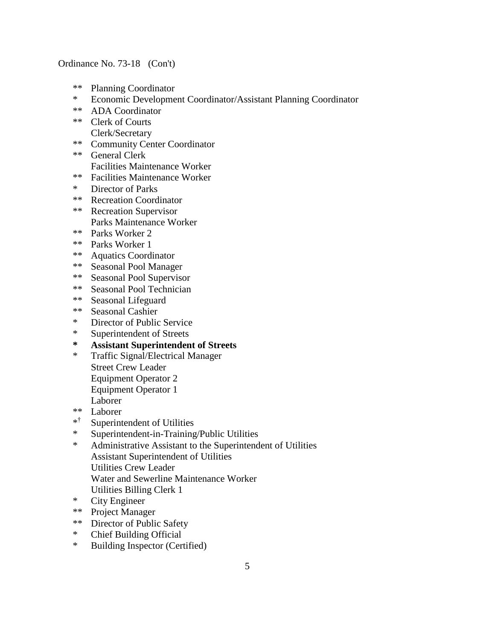- \*\* Planning Coordinator
- \* Economic Development Coordinator/Assistant Planning Coordinator
- \*\* ADA Coordinator
- \*\* Clerk of Courts
- Clerk/Secretary \*\* Community Center Coordinator
- \*\* General Clerk Facilities Maintenance Worker
- \*\* Facilities Maintenance Worker
- \* Director of Parks
- \*\* Recreation Coordinator
- \*\* Recreation Supervisor Parks Maintenance Worker
- \*\* Parks Worker 2
- \*\* Parks Worker 1
- \*\* Aquatics Coordinator
- \*\* Seasonal Pool Manager
- \*\* Seasonal Pool Supervisor
- \*\* Seasonal Pool Technician
- \*\* Seasonal Lifeguard
- \*\* Seasonal Cashier
- \* Director of Public Service
- \* Superintendent of Streets
- **\* Assistant Superintendent of Streets**
- \* Traffic Signal/Electrical Manager Street Crew Leader Equipment Operator 2 Equipment Operator 1 Laborer
- \*\* Laborer
- \* † Superintendent of Utilities
- \* Superintendent-in-Training/Public Utilities
- \* Administrative Assistant to the Superintendent of Utilities Assistant Superintendent of Utilities Utilities Crew Leader Water and Sewerline Maintenance Worker Utilities Billing Clerk 1
- \* City Engineer
- \*\* Project Manager
- \*\* Director of Public Safety
- \* Chief Building Official
- \* Building Inspector (Certified)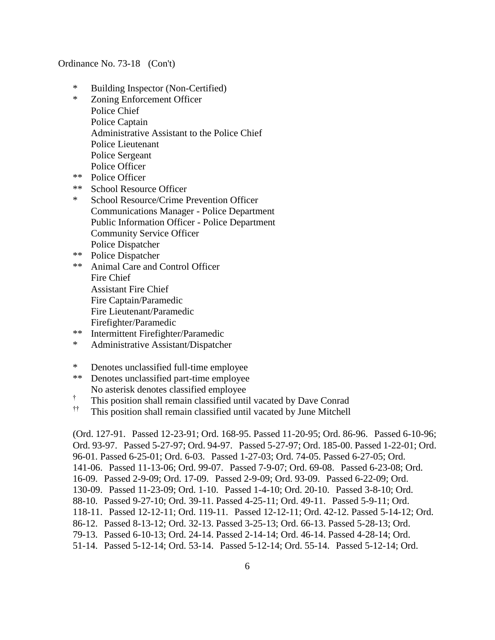- \* Building Inspector (Non-Certified)
- \* Zoning Enforcement Officer Police Chief Police Captain Administrative Assistant to the Police Chief Police Lieutenant Police Sergeant Police Officer
- \*\* Police Officer
- \*\* School Resource Officer
- \* School Resource/Crime Prevention Officer Communications Manager - Police Department Public Information Officer - Police Department Community Service Officer Police Dispatcher
- \*\* Police Dispatcher
- \*\* Animal Care and Control Officer Fire Chief Assistant Fire Chief Fire Captain/Paramedic Fire Lieutenant/Paramedic Firefighter/Paramedic
- \*\* Intermittent Firefighter/Paramedic
- \* Administrative Assistant/Dispatcher
- \* Denotes unclassified full-time employee
- \*\* Denotes unclassified part-time employee No asterisk denotes classified employee
- † This position shall remain classified until vacated by Dave Conrad
- †† This position shall remain classified until vacated by June Mitchell

(Ord. 127-91. Passed 12-23-91; Ord. 168-95. Passed 11-20-95; Ord. 86-96. Passed 6-10-96; Ord. 93-97. Passed 5-27-97; Ord. 94-97. Passed 5-27-97; Ord. 185-00. Passed 1-22-01; Ord. 96-01. Passed 6-25-01; Ord. 6-03. Passed 1-27-03; Ord. 74-05. Passed 6-27-05; Ord. 141-06. Passed 11-13-06; Ord. 99-07. Passed 7-9-07; Ord. 69-08. Passed 6-23-08; Ord. 16-09. Passed 2-9-09; Ord. 17-09. Passed 2-9-09; Ord. 93-09. Passed 6-22-09; Ord. 130-09. Passed 11-23-09; Ord. 1-10. Passed 1-4-10; Ord. 20-10. Passed 3-8-10; Ord. 88-10. Passed 9-27-10; Ord. 39-11. Passed 4-25-11; Ord. 49-11. Passed 5-9-11; Ord. 118-11. Passed 12-12-11; Ord. 119-11. Passed 12-12-11; Ord. 42-12. Passed 5-14-12; Ord. 86-12. Passed 8-13-12; Ord. 32-13. Passed 3-25-13; Ord. 66-13. Passed 5-28-13; Ord. 79-13. Passed 6-10-13; Ord. 24-14. Passed 2-14-14; Ord. 46-14. Passed 4-28-14; Ord. 51-14. Passed 5-12-14; Ord. 53-14. Passed 5-12-14; Ord. 55-14. Passed 5-12-14; Ord.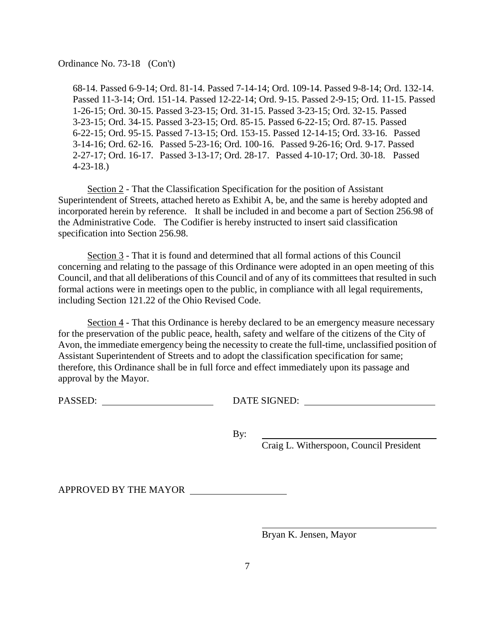68-14. Passed 6-9-14; Ord. 81-14. Passed 7-14-14; Ord. 109-14. Passed 9-8-14; Ord. 132-14. Passed 11-3-14; Ord. 151-14. Passed 12-22-14; Ord. 9-15. Passed 2-9-15; Ord. 11-15. Passed 1-26-15; Ord. 30-15. Passed 3-23-15; Ord. 31-15. Passed 3-23-15; Ord. 32-15. Passed 3-23-15; Ord. 34-15. Passed 3-23-15; Ord. 85-15. Passed 6-22-15; Ord. 87-15. Passed 6-22-15; Ord. 95-15. Passed 7-13-15; Ord. 153-15. Passed 12-14-15; Ord. 33-16. Passed 3-14-16; Ord. 62-16. Passed 5-23-16; Ord. 100-16. Passed 9-26-16; Ord. 9-17. Passed 2-27-17; Ord. 16-17. Passed 3-13-17; Ord. 28-17. Passed 4-10-17; Ord. 30-18. Passed 4-23-18.)

Section 2 - That the Classification Specification for the position of Assistant Superintendent of Streets, attached hereto as Exhibit A, be, and the same is hereby adopted and incorporated herein by reference. It shall be included in and become a part of Section 256.98 of the Administrative Code. The Codifier is hereby instructed to insert said classification specification into Section 256.98.

Section 3 - That it is found and determined that all formal actions of this Council concerning and relating to the passage of this Ordinance were adopted in an open meeting of this Council, and that all deliberations of this Council and of any of its committees that resulted in such formal actions were in meetings open to the public, in compliance with all legal requirements, including Section 121.22 of the Ohio Revised Code.

Section 4 - That this Ordinance is hereby declared to be an emergency measure necessary for the preservation of the public peace, health, safety and welfare of the citizens of the City of Avon, the immediate emergency being the necessity to create the full-time, unclassified position of Assistant Superintendent of Streets and to adopt the classification specification for same; therefore, this Ordinance shall be in full force and effect immediately upon its passage and approval by the Mayor.

PASSED: DATE SIGNED:

By:

Craig L. Witherspoon, Council President

APPROVED BY THE MAYOR

Bryan K. Jensen, Mayor